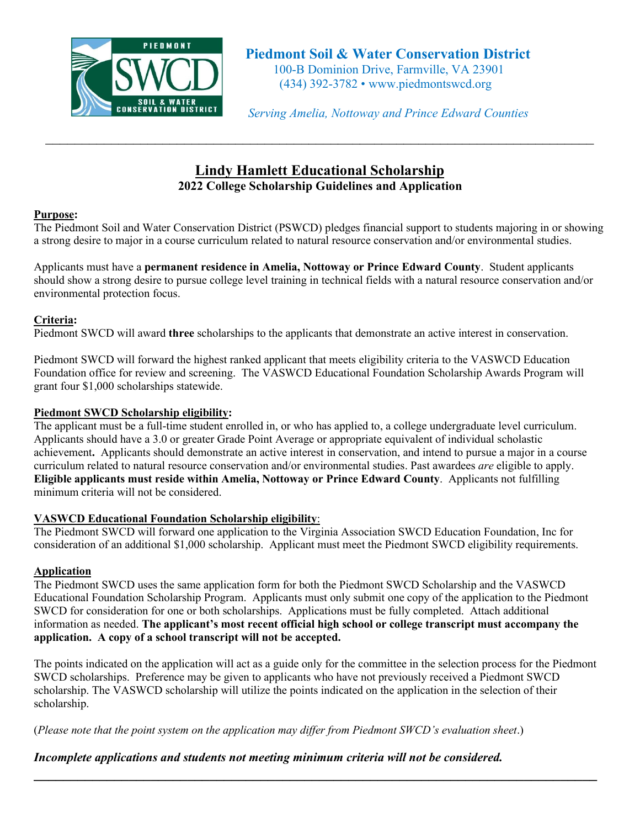

 *Serving Amelia, Nottoway and Prince Edward Counties*

# **Lindy Hamlett Educational Scholarship 2022 College Scholarship Guidelines and Application**

# **Purpose:**

The Piedmont Soil and Water Conservation District (PSWCD) pledges financial support to students majoring in or showing a strong desire to major in a course curriculum related to natural resource conservation and/or environmental studies.

Applicants must have a **permanent residence in Amelia, Nottoway or Prince Edward County**. Student applicants should show a strong desire to pursue college level training in technical fields with a natural resource conservation and/or environmental protection focus.

## **Criteria:**

Piedmont SWCD will award **three** scholarships to the applicants that demonstrate an active interest in conservation.

Piedmont SWCD will forward the highest ranked applicant that meets eligibility criteria to the VASWCD Education Foundation office for review and screening. The VASWCD Educational Foundation Scholarship Awards Program will grant four \$1,000 scholarships statewide.

## **Piedmont SWCD Scholarship eligibility:**

The applicant must be a full-time student enrolled in, or who has applied to, a college undergraduate level curriculum. Applicants should have a 3.0 or greater Grade Point Average or appropriate equivalent of individual scholastic achievement**.** Applicants should demonstrate an active interest in conservation, and intend to pursue a major in a course curriculum related to natural resource conservation and/or environmental studies. Past awardees *are* eligible to apply. **Eligible applicants must reside within Amelia, Nottoway or Prince Edward County**. Applicants not fulfilling minimum criteria will not be considered.

#### **VASWCD Educational Foundation Scholarship eligibility**:

The Piedmont SWCD will forward one application to the Virginia Association SWCD Education Foundation, Inc for consideration of an additional \$1,000 scholarship. Applicant must meet the Piedmont SWCD eligibility requirements.

## **Application**

The Piedmont SWCD uses the same application form for both the Piedmont SWCD Scholarship and the VASWCD Educational Foundation Scholarship Program. Applicants must only submit one copy of the application to the Piedmont SWCD for consideration for one or both scholarships. Applications must be fully completed. Attach additional information as needed. **The applicant's most recent official high school or college transcript must accompany the application. A copy of a school transcript will not be accepted.**

The points indicated on the application will act as a guide only for the committee in the selection process for the Piedmont SWCD scholarships. Preference may be given to applicants who have not previously received a Piedmont SWCD scholarship. The VASWCD scholarship will utilize the points indicated on the application in the selection of their scholarship.

**\_\_\_\_\_\_\_\_\_\_\_\_\_\_\_\_\_\_\_\_\_\_\_\_\_\_\_\_\_\_\_\_\_\_\_\_\_\_\_\_\_\_\_\_\_\_\_\_\_\_\_\_\_\_\_\_\_\_\_\_\_\_\_\_\_\_\_\_\_\_\_\_\_\_\_\_\_**

(*Please note that the point system on the application may differ from Piedmont SWCD's evaluation sheet*.)

## *Incomplete applications and students not meeting minimum criteria will not be considered.*